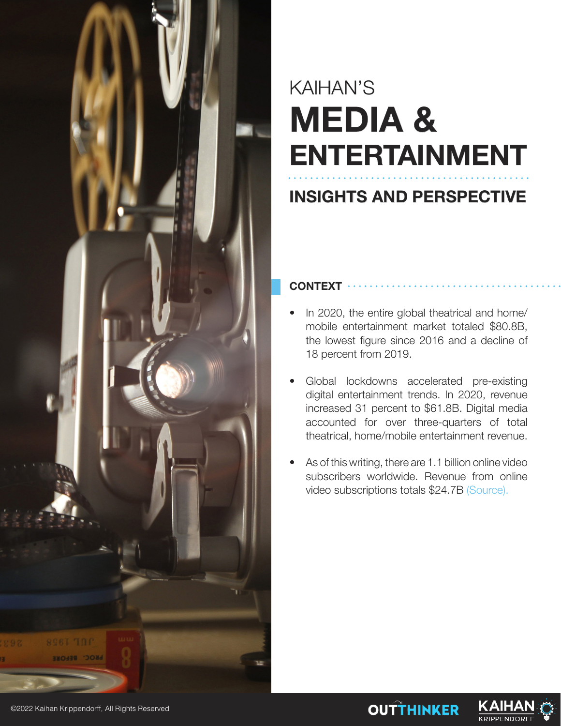

## KAIHAN'S **MEDIA & ENTERTAINMENT**

### **INSIGHTS AND PERSPECTIVE**

#### **CONTEXT**

- In 2020, the entire global theatrical and home/ mobile entertainment market totaled \$80.8B, the lowest figure since 2016 and a decline of 18 percent from 2019.
- Global lockdowns accelerated pre-existing digital entertainment trends. In 2020, revenue increased 31 percent to \$61.8B. Digital media accounted for over three-quarters of total theatrical, home/mobile entertainment revenue.
- As of this writing, there are 1.1 billion online video subscribers worldwide. Revenue from online video subscriptions totals \$24.7B (Source).

**OUTTHINKER** 

<u>KAIHA</u> **KRIPPENDORF** 

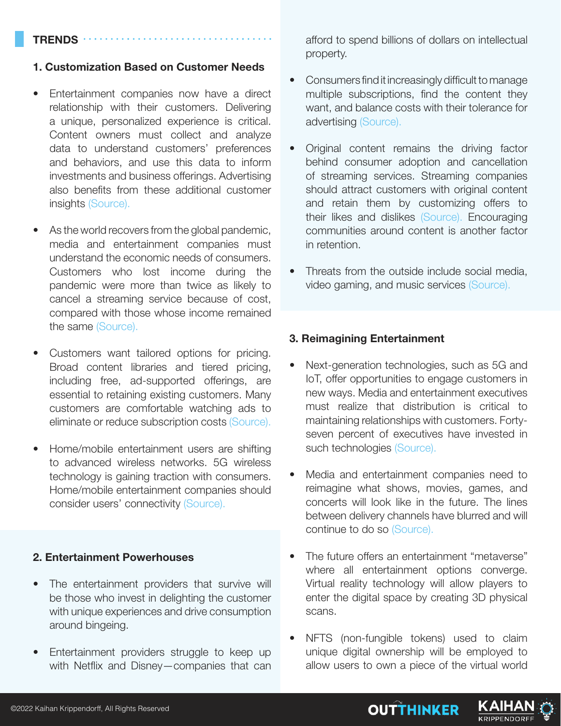#### **TRENDS**

#### **1. Customization Based on Customer Needs**

- Entertainment companies now have a direct relationship with their customers. Delivering a unique, personalized experience is critical. Content owners must collect and analyze data to understand customers' preferences and behaviors, and use this data to inform investments and business offerings. Advertising also benefits from these additional customer insights (Source).
- As the world recovers from the global pandemic, media and entertainment companies must understand the economic needs of consumers. Customers who lost income during the pandemic were more than twice as likely to cancel a streaming service because of cost, compared with those whose income remained the same (Source).
- Customers want tailored options for pricing. Broad content libraries and tiered pricing, including free, ad-supported offerings, are essential to retaining existing customers. Many customers are comfortable watching ads to eliminate or reduce subscription costs (Source).
- Home/mobile entertainment users are shifting to advanced wireless networks. 5G wireless technology is gaining traction with consumers. Home/mobile entertainment companies should consider users' connectivity (Source).

#### **2. Entertainment Powerhouses**

- The entertainment providers that survive will be those who invest in delighting the customer with unique experiences and drive consumption around bingeing.
- Entertainment providers struggle to keep up with Netflix and Disney—companies that can

afford to spend billions of dollars on intellectual property.

- Consumers find it increasingly difficult to manage multiple subscriptions, find the content they want, and balance costs with their tolerance for advertising (Source).
- Original content remains the driving factor behind consumer adoption and cancellation of streaming services. Streaming companies should attract customers with original content and retain them by customizing offers to their likes and dislikes (Source). Encouraging communities around content is another factor in retention.
- Threats from the outside include social media, video gaming, and music services (Source).

#### **3. Reimagining Entertainment**

- Next-generation technologies, such as 5G and IoT, offer opportunities to engage customers in new ways. Media and entertainment executives must realize that distribution is critical to maintaining relationships with customers. Fortyseven percent of executives have invested in such technologies (Source).
- Media and entertainment companies need to reimagine what shows, movies, games, and concerts will look like in the future. The lines between delivery channels have blurred and will continue to do so (Source).
- The future offers an entertainment "metaverse" where all entertainment options converge. Virtual reality technology will allow players to enter the digital space by creating 3D physical scans.
- NFTS (non-fungible tokens) used to claim unique digital ownership will be employed to allow users to own a piece of the virtual world

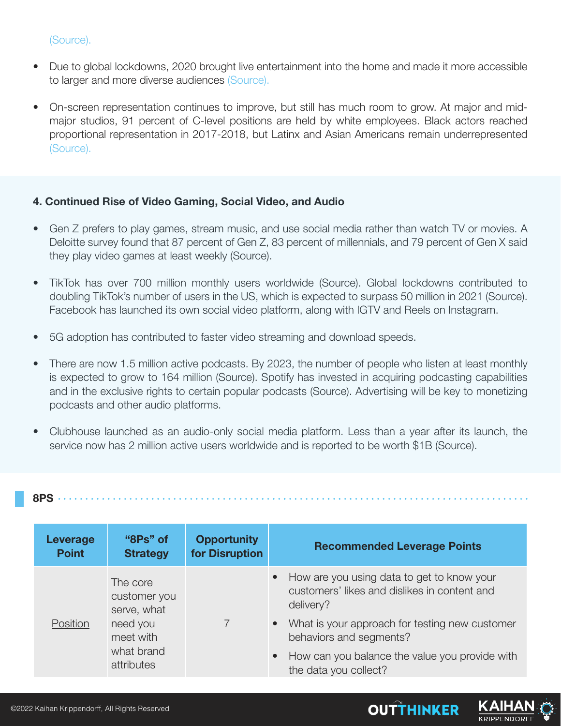#### (Source).

- Due to global lockdowns, 2020 brought live entertainment into the home and made it more accessible to larger and more diverse audiences (Source).
- On-screen representation continues to improve, but still has much room to grow. At major and midmajor studios, 91 percent of C-level positions are held by white employees. Black actors reached proportional representation in 2017-2018, but Latinx and Asian Americans remain underrepresented (Source).

#### **4. Continued Rise of Video Gaming, Social Video, and Audio**

- Gen Z prefers to play games, stream music, and use social media rather than watch TV or movies. A Deloitte survey found that 87 percent of Gen Z, 83 percent of millennials, and 79 percent of Gen X said they play video games at least weekly (Source).
- TikTok has over 700 million monthly users worldwide (Source). Global lockdowns contributed to doubling TikTok's number of users in the US, which is expected to surpass 50 million in 2021 (Source). Facebook has launched its own social video platform, along with IGTV and Reels on Instagram.
- 5G adoption has contributed to faster video streaming and download speeds.
- There are now 1.5 million active podcasts. By 2023, the number of people who listen at least monthly is expected to grow to 164 million (Source). Spotify has invested in acquiring podcasting capabilities and in the exclusive rights to certain popular podcasts (Source). Advertising will be key to monetizing podcasts and other audio platforms.
- Clubhouse launched as an audio-only social media platform. Less than a year after its launch, the service now has 2 million active users worldwide and is reported to be worth \$1B (Source).

#### **8PS**

| Leverage<br><b>Point</b> | "8Ps" of<br><b>Strategy</b>                                                                  | <b>Opportunity</b><br>for Disruption | <b>Recommended Leverage Points</b>                                                                                   |
|--------------------------|----------------------------------------------------------------------------------------------|--------------------------------------|----------------------------------------------------------------------------------------------------------------------|
| Position                 | The core<br>customer you<br>serve, what<br>need you<br>meet with<br>what brand<br>attributes |                                      | How are you using data to get to know your<br>$\bullet$<br>customers' likes and dislikes in content and<br>delivery? |
|                          |                                                                                              |                                      | • What is your approach for testing new customer<br>behaviors and segments?                                          |
|                          |                                                                                              |                                      | How can you balance the value you provide with<br>$\bullet$<br>the data you collect?                                 |

**OUTTHINKER**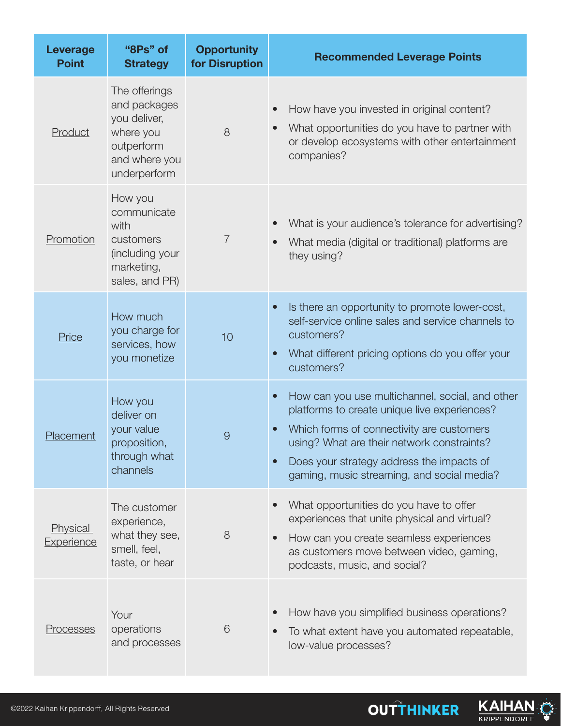| <b>Leverage</b><br><b>Point</b>      | "8Ps" of<br><b>Strategy</b>                                                                               | <b>Opportunity</b><br>for Disruption | <b>Recommended Leverage Points</b>                                                                                                                                                                                                                                                                              |
|--------------------------------------|-----------------------------------------------------------------------------------------------------------|--------------------------------------|-----------------------------------------------------------------------------------------------------------------------------------------------------------------------------------------------------------------------------------------------------------------------------------------------------------------|
| Product                              | The offerings<br>and packages<br>you deliver,<br>where you<br>outperform<br>and where you<br>underperform | 8                                    | How have you invested in original content?<br>What opportunities do you have to partner with<br>or develop ecosystems with other entertainment<br>companies?                                                                                                                                                    |
| Promotion                            | How you<br>communicate<br>with<br>customers<br>(including your<br>marketing,<br>sales, and PR)            | $\overline{7}$                       | What is your audience's tolerance for advertising?<br>What media (digital or traditional) platforms are<br>they using?                                                                                                                                                                                          |
| <b>Price</b>                         | How much<br>you charge for<br>services, how<br>you monetize                                               | 10                                   | Is there an opportunity to promote lower-cost,<br>$\bullet$<br>self-service online sales and service channels to<br>customers?<br>What different pricing options do you offer your<br>$\bullet$<br>customers?                                                                                                   |
| Placement                            | How you<br>deliver on<br>your value<br>proposition,<br>through what<br>channels                           | 9                                    | How can you use multichannel, social, and other<br>$\bullet$<br>platforms to create unique live experiences?<br>Which forms of connectivity are customers<br>using? What are their network constraints?<br>Does your strategy address the impacts of<br>$\bullet$<br>gaming, music streaming, and social media? |
| <b>Physical</b><br><b>Experience</b> | The customer<br>experience,<br>what they see,<br>smell, feel,<br>taste, or hear                           | 8                                    | What opportunities do you have to offer<br>experiences that unite physical and virtual?<br>How can you create seamless experiences<br>$\bullet$<br>as customers move between video, gaming,<br>podcasts, music, and social?                                                                                     |
| <u>Processes</u>                     | Your<br>operations<br>and processes                                                                       | 6                                    | How have you simplified business operations?<br>To what extent have you automated repeatable,<br>low-value processes?                                                                                                                                                                                           |



KAIHAN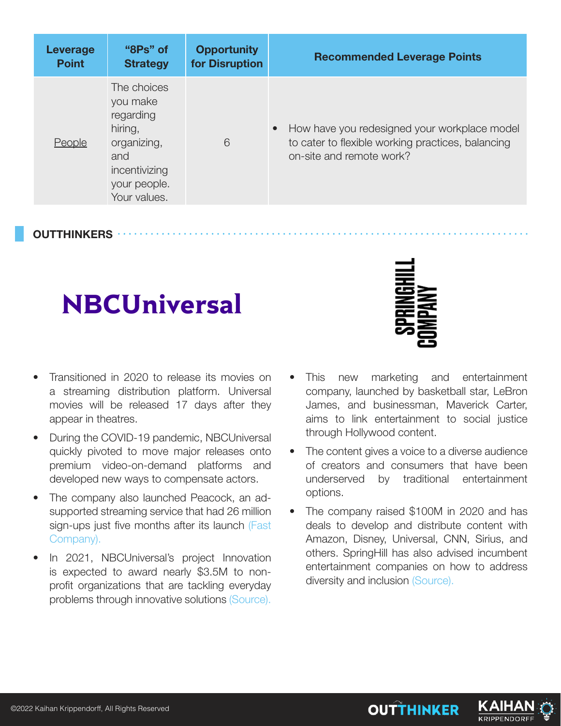| Leverage     | "8Ps" of                                                                                                               | <b>Opportunity</b> | <b>Recommended Leverage Points</b>                                                                                                         |
|--------------|------------------------------------------------------------------------------------------------------------------------|--------------------|--------------------------------------------------------------------------------------------------------------------------------------------|
| <b>Point</b> | <b>Strategy</b>                                                                                                        | for Disruption     |                                                                                                                                            |
| People       | The choices<br>you make<br>regarding<br>hiring,<br>organizing,<br>and<br>incentivizing<br>your people.<br>Your values. | 6                  | How have you redesigned your workplace model<br>$\bullet$<br>to cater to flexible working practices, balancing<br>on-site and remote work? |

**OUTTHINKERS**

### **NBCUniversal**

- Transitioned in 2020 to release its movies on a streaming distribution platform. Universal movies will be released 17 days after they appear in theatres.
- During the COVID-19 pandemic, NBCUniversal quickly pivoted to move major releases onto premium video-on-demand platforms and developed new ways to compensate actors.
- The company also launched Peacock, an adsupported streaming service that had 26 million sign-ups just five months after its launch (Fast Company).
- In 2021, NBCUniversal's project Innovation is expected to award nearly \$3.5M to nonprofit organizations that are tackling everyday problems through innovative solutions (Source).



- This new marketing and entertainment company, launched by basketball star, LeBron James, and businessman, Maverick Carter, aims to link entertainment to social justice through Hollywood content.
- The content gives a voice to a diverse audience of creators and consumers that have been underserved by traditional entertainment options.
- The company raised \$100M in 2020 and has deals to develop and distribute content with Amazon, Disney, Universal, CNN, Sirius, and others. SpringHill has also advised incumbent entertainment companies on how to address diversity and inclusion (Source).

**OUTTHINKER**